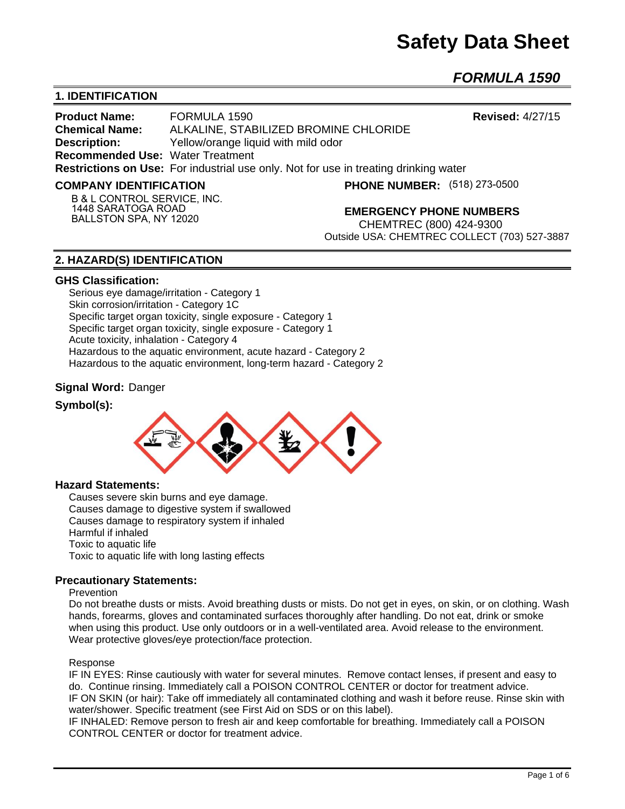# **Safety Data Sheet**

*FORMULA 1590* 

# **1. IDENTIFICATION**

**Product Name:** FORMULA 1590 **Revised:** 4/27/15 **Chemical Name:** ALKALINE, STABILIZED BROMINE CHLORIDE **Description: Yellow/orange liquid with mild odor Recommended Use:** Water Treatment **Restrictions on Use:** For industrial use only. Not for use in treating drinking water

#### **COMPANY IDENTIFICATION**

**(518) 273-0500**

**B & L CONTROL SERVICE, INC. 1448 SARATOGA ROAD BALLSTON SPA, NY 12020**

#### **EMERGENCY PHONE NUMBERS**

CHEMTREC (800) 424-9300 Outside USA: CHEMTREC COLLECT (703) 527-3887

#### **2. HAZARD(S) IDENTIFICATION**

#### **GHS Classification:**

Serious eye damage/irritation - Category 1 Skin corrosion/irritation - Category 1C Specific target organ toxicity, single exposure - Category 1 Specific target organ toxicity, single exposure - Category 1 Acute toxicity, inhalation - Category 4 Hazardous to the aquatic environment, acute hazard - Category 2 Hazardous to the aquatic environment, long-term hazard - Category 2

#### **Signal Word:** Danger

#### **Symbol(s):**



#### **Hazard Statements:**

Causes severe skin burns and eye damage. Causes damage to digestive system if swallowed Causes damage to respiratory system if inhaled Harmful if inhaled Toxic to aquatic life Toxic to aquatic life with long lasting effects

#### **Precautionary Statements:**

#### Prevention

Do not breathe dusts or mists. Avoid breathing dusts or mists. Do not get in eyes, on skin, or on clothing. Wash hands, forearms, gloves and contaminated surfaces thoroughly after handling. Do not eat, drink or smoke when using this product. Use only outdoors or in a well-ventilated area. Avoid release to the environment. Wear protective gloves/eye protection/face protection.

#### Response

IF IN EYES: Rinse cautiously with water for several minutes. Remove contact lenses, if present and easy to do. Continue rinsing. Immediately call a POISON CONTROL CENTER or doctor for treatment advice. IF ON SKIN (or hair): Take off immediately all contaminated clothing and wash it before reuse. Rinse skin with water/shower. Specific treatment (see First Aid on SDS or on this label).

IF INHALED: Remove person to fresh air and keep comfortable for breathing. Immediately call a POISON CONTROL CENTER or doctor for treatment advice.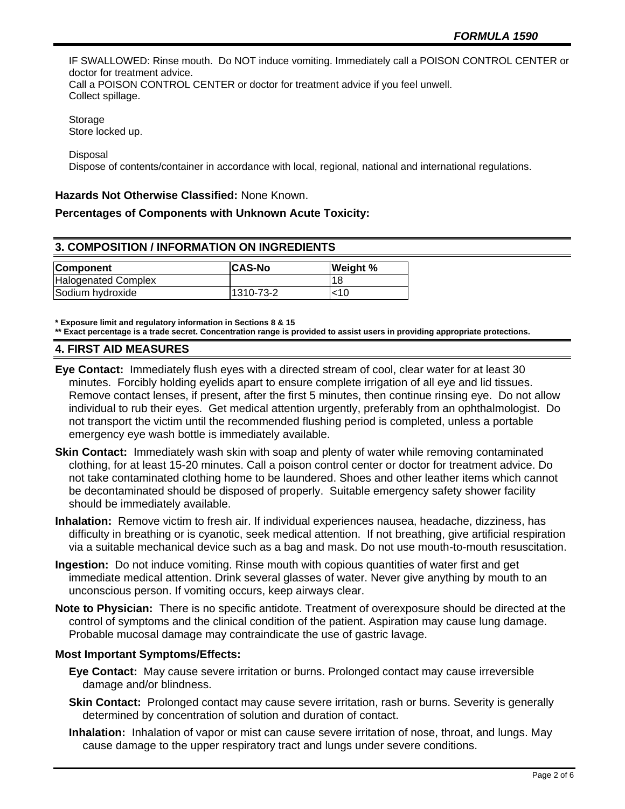IF SWALLOWED: Rinse mouth. Do NOT induce vomiting. Immediately call a POISON CONTROL CENTER or doctor for treatment advice.

Call a POISON CONTROL CENTER or doctor for treatment advice if you feel unwell. Collect spillage.

Storage Store locked up.

Disposal

Dispose of contents/container in accordance with local, regional, national and international regulations.

#### **Hazards Not Otherwise Classified:** None Known.

#### **Percentages of Components with Unknown Acute Toxicity:**

## **3. COMPOSITION / INFORMATION ON INGREDIENTS**

| <b>Component</b>           | <b>CAS-No</b> | <b>Weight %</b> |
|----------------------------|---------------|-----------------|
| <b>Halogenated Complex</b> |               | 118             |
| Sodium hydroxide           | 1310-73-2     | <10             |

**\* Exposure limit and regulatory information in Sections 8 & 15**

**\*\* Exact percentage is a trade secret. Concentration range is provided to assist users in providing appropriate protections.**

#### **4. FIRST AID MEASURES**

- **Eye Contact:** Immediately flush eyes with a directed stream of cool, clear water for at least 30 minutes. Forcibly holding eyelids apart to ensure complete irrigation of all eye and lid tissues. Remove contact lenses, if present, after the first 5 minutes, then continue rinsing eye. Do not allow individual to rub their eyes. Get medical attention urgently, preferably from an ophthalmologist. Do not transport the victim until the recommended flushing period is completed, unless a portable emergency eye wash bottle is immediately available.
- **Skin Contact:** Immediately wash skin with soap and plenty of water while removing contaminated clothing, for at least 15-20 minutes. Call a poison control center or doctor for treatment advice. Do not take contaminated clothing home to be laundered. Shoes and other leather items which cannot be decontaminated should be disposed of properly. Suitable emergency safety shower facility should be immediately available.
- **Inhalation:** Remove victim to fresh air. If individual experiences nausea, headache, dizziness, has difficulty in breathing or is cyanotic, seek medical attention. If not breathing, give artificial respiration via a suitable mechanical device such as a bag and mask. Do not use mouth-to-mouth resuscitation.
- **Ingestion:** Do not induce vomiting. Rinse mouth with copious quantities of water first and get immediate medical attention. Drink several glasses of water. Never give anything by mouth to an unconscious person. If vomiting occurs, keep airways clear.
- **Note to Physician:** There is no specific antidote. Treatment of overexposure should be directed at the control of symptoms and the clinical condition of the patient. Aspiration may cause lung damage. Probable mucosal damage may contraindicate the use of gastric lavage.

#### **Most Important Symptoms/Effects:**

- **Eye Contact:** May cause severe irritation or burns. Prolonged contact may cause irreversible damage and/or blindness.
- **Skin Contact:** Prolonged contact may cause severe irritation, rash or burns. Severity is generally determined by concentration of solution and duration of contact.
- **Inhalation:** Inhalation of vapor or mist can cause severe irritation of nose, throat, and lungs. May cause damage to the upper respiratory tract and lungs under severe conditions.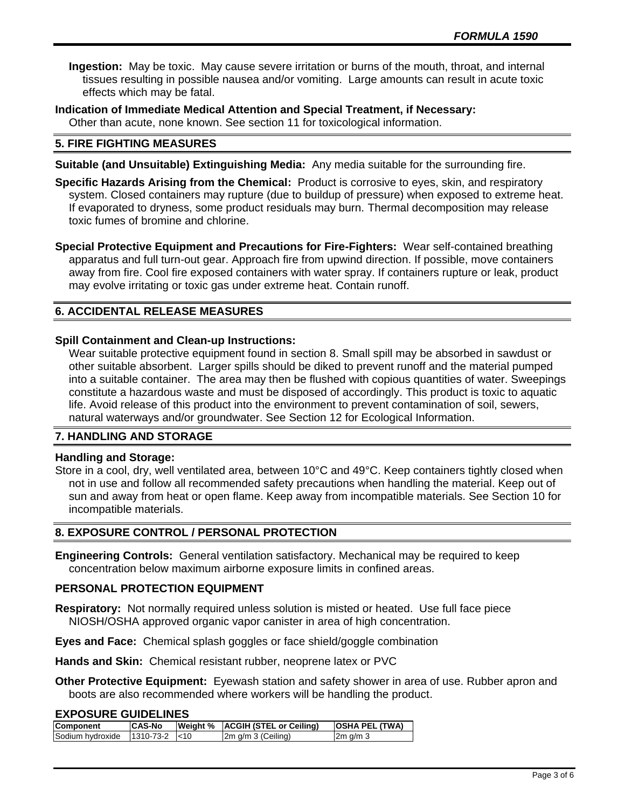**Ingestion:** May be toxic. May cause severe irritation or burns of the mouth, throat, and internal tissues resulting in possible nausea and/or vomiting. Large amounts can result in acute toxic effects which may be fatal.

**Indication of Immediate Medical Attention and Special Treatment, if Necessary:** Other than acute, none known. See section 11 for toxicological information.

#### **5. FIRE FIGHTING MEASURES**

**Suitable (and Unsuitable) Extinguishing Media:** Any media suitable for the surrounding fire.

**Specific Hazards Arising from the Chemical:** Product is corrosive to eyes, skin, and respiratory system. Closed containers may rupture (due to buildup of pressure) when exposed to extreme heat. If evaporated to dryness, some product residuals may burn. Thermal decomposition may release toxic fumes of bromine and chlorine.

**Special Protective Equipment and Precautions for Fire-Fighters:** Wear self-contained breathing apparatus and full turn-out gear. Approach fire from upwind direction. If possible, move containers away from fire. Cool fire exposed containers with water spray. If containers rupture or leak, product may evolve irritating or toxic gas under extreme heat. Contain runoff.

# **6. ACCIDENTAL RELEASE MEASURES**

#### **Spill Containment and Clean-up Instructions:**

Wear suitable protective equipment found in section 8. Small spill may be absorbed in sawdust or other suitable absorbent. Larger spills should be diked to prevent runoff and the material pumped into a suitable container. The area may then be flushed with copious quantities of water. Sweepings constitute a hazardous waste and must be disposed of accordingly. This product is toxic to aquatic life. Avoid release of this product into the environment to prevent contamination of soil, sewers, natural waterways and/or groundwater. See Section 12 for Ecological Information.

#### **7. HANDLING AND STORAGE**

#### **Handling and Storage:**

Store in a cool, dry, well ventilated area, between 10°C and 49°C. Keep containers tightly closed when not in use and follow all recommended safety precautions when handling the material. Keep out of sun and away from heat or open flame. Keep away from incompatible materials. See Section 10 for incompatible materials.

#### **8. EXPOSURE CONTROL / PERSONAL PROTECTION**

**Engineering Controls:** General ventilation satisfactory. Mechanical may be required to keep concentration below maximum airborne exposure limits in confined areas.

#### **PERSONAL PROTECTION EQUIPMENT**

**Respiratory:** Not normally required unless solution is misted or heated. Use full face piece NIOSH/OSHA approved organic vapor canister in area of high concentration.

**Eyes and Face:** Chemical splash goggles or face shield/goggle combination

**Hands and Skin:** Chemical resistant rubber, neoprene latex or PVC

**Other Protective Equipment:** Eyewash station and safety shower in area of use. Rubber apron and boots are also recommended where workers will be handling the product.

#### **EXPOSURE GUIDELINES**

| Component        | <b>CAS-No</b>   | Weight %   ACGIH (STEL or Ceiling) | <b>OSHA PEL (TWA)</b> |
|------------------|-----------------|------------------------------------|-----------------------|
| Sodium hvdroxide | l1310-73-2 l<10 | $2m$ g/m $3$ (Ceiling)             | $2m$ g/m $3$          |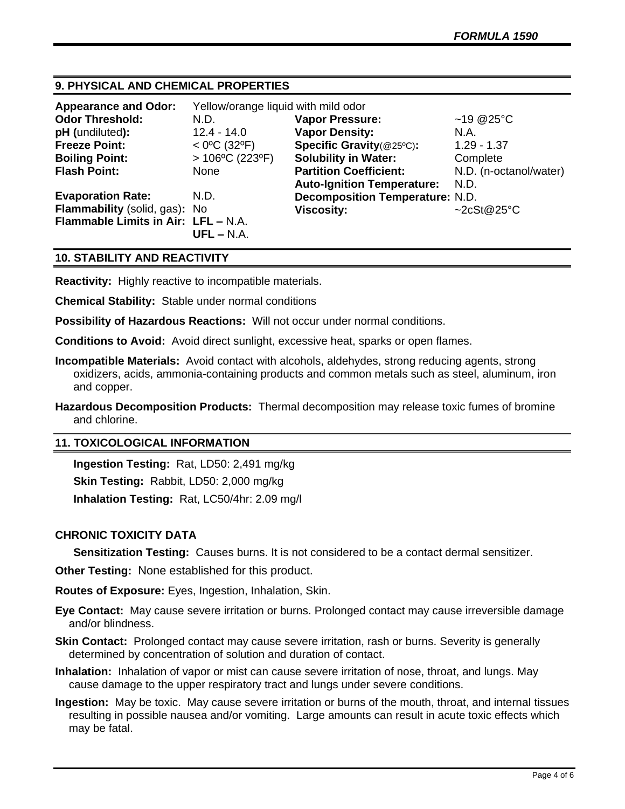# **9. PHYSICAL AND CHEMICAL PROPERTIES**

| <b>Appearance and Odor:</b>         | Yellow/orange liquid with mild odor |                                        |                        |
|-------------------------------------|-------------------------------------|----------------------------------------|------------------------|
| <b>Odor Threshold:</b>              | N.D.                                | <b>Vapor Pressure:</b>                 | ~19 @ $25^{\circ}$ C   |
| pH (undiluted):                     | $12.4 - 14.0$                       | <b>Vapor Density:</b>                  | N.A.                   |
| <b>Freeze Point:</b>                | $<$ 0°C (32°F)                      | Specific Gravity(@25°C):               | $1.29 - 1.37$          |
| <b>Boiling Point:</b>               | $>106^{\circ}C(223^{\circ}F)$       | <b>Solubility in Water:</b>            | Complete               |
| <b>Flash Point:</b>                 | None                                | <b>Partition Coefficient:</b>          | N.D. (n-octanol/water) |
|                                     |                                     | <b>Auto-Ignition Temperature:</b>      | N.D.                   |
| <b>Evaporation Rate:</b>            | N.D.                                | <b>Decomposition Temperature: N.D.</b> |                        |
| Flammability (solid, gas): No       |                                     | <b>Viscosity:</b>                      | ~2cSt@25°C             |
| Flammable Limits in Air: LFL - N.A. | $UFL - N.A.$                        |                                        |                        |

#### **10. STABILITY AND REACTIVITY**

**Reactivity:** Highly reactive to incompatible materials.

**Chemical Stability:** Stable under normal conditions

**Possibility of Hazardous Reactions:** Will not occur under normal conditions.

**Conditions to Avoid:** Avoid direct sunlight, excessive heat, sparks or open flames.

**Incompatible Materials:** Avoid contact with alcohols, aldehydes, strong reducing agents, strong oxidizers, acids, ammonia-containing products and common metals such as steel, aluminum, iron and copper.

**Hazardous Decomposition Products:** Thermal decomposition may release toxic fumes of bromine and chlorine.

## **11. TOXICOLOGICAL INFORMATION**

**Ingestion Testing:** Rat, LD50: 2,491 mg/kg **Skin Testing:** Rabbit, LD50: 2,000 mg/kg **Inhalation Testing:** Rat, LC50/4hr: 2.09 mg/l

#### **CHRONIC TOXICITY DATA**

**Sensitization Testing:** Causes burns. It is not considered to be a contact dermal sensitizer.

**Other Testing:** None established for this product.

**Routes of Exposure:** Eyes, Ingestion, Inhalation, Skin.

**Eye Contact:** May cause severe irritation or burns. Prolonged contact may cause irreversible damage and/or blindness.

- **Skin Contact:** Prolonged contact may cause severe irritation, rash or burns. Severity is generally determined by concentration of solution and duration of contact.
- **Inhalation:** Inhalation of vapor or mist can cause severe irritation of nose, throat, and lungs. May cause damage to the upper respiratory tract and lungs under severe conditions.
- **Ingestion:** May be toxic. May cause severe irritation or burns of the mouth, throat, and internal tissues resulting in possible nausea and/or vomiting. Large amounts can result in acute toxic effects which may be fatal.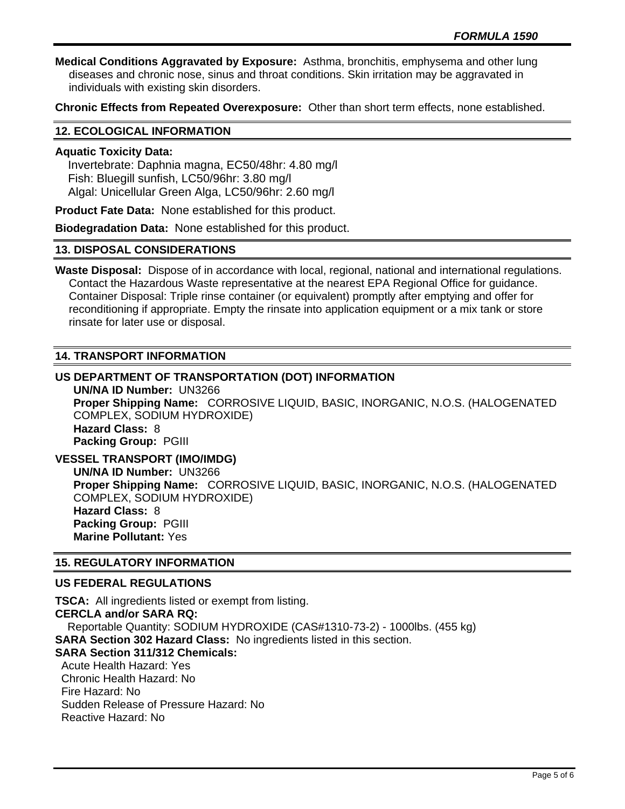**Medical Conditions Aggravated by Exposure:** Asthma, bronchitis, emphysema and other lung diseases and chronic nose, sinus and throat conditions. Skin irritation may be aggravated in individuals with existing skin disorders.

**Chronic Effects from Repeated Overexposure:** Other than short term effects, none established.

## **12. ECOLOGICAL INFORMATION**

#### **Aquatic Toxicity Data:**

 Invertebrate: Daphnia magna, EC50/48hr: 4.80 mg/l Fish: Bluegill sunfish, LC50/96hr: 3.80 mg/l Algal: Unicellular Green Alga, LC50/96hr: 2.60 mg/l

**Product Fate Data:** None established for this product.

**Biodegradation Data:** None established for this product.

## **13. DISPOSAL CONSIDERATIONS**

**Waste Disposal:** Dispose of in accordance with local, regional, national and international regulations. Contact the Hazardous Waste representative at the nearest EPA Regional Office for guidance. Container Disposal: Triple rinse container (or equivalent) promptly after emptying and offer for reconditioning if appropriate. Empty the rinsate into application equipment or a mix tank or store rinsate for later use or disposal.

## **14. TRANSPORT INFORMATION**

# **US DEPARTMENT OF TRANSPORTATION (DOT) INFORMATION**

**UN/NA ID Number:** UN3266 **Proper Shipping Name:** CORROSIVE LIQUID, BASIC, INORGANIC, N.O.S. (HALOGENATED COMPLEX, SODIUM HYDROXIDE) **Hazard Class:** 8 **Packing Group:** PGIII

**VESSEL TRANSPORT (IMO/IMDG) UN/NA ID Number:** UN3266 **Proper Shipping Name:** CORROSIVE LIQUID, BASIC, INORGANIC, N.O.S. (HALOGENATED COMPLEX, SODIUM HYDROXIDE) **Hazard Class:** 8 **Packing Group:** PGIII **Marine Pollutant:** Yes

#### **15. REGULATORY INFORMATION**

#### **US FEDERAL REGULATIONS**

**TSCA:** All ingredients listed or exempt from listing. **CERCLA and/or SARA RQ:**  Reportable Quantity: SODIUM HYDROXIDE (CAS#1310-73-2) - 1000lbs. (455 kg) **SARA Section 302 Hazard Class:** No ingredients listed in this section. **SARA Section 311/312 Chemicals:**  Acute Health Hazard: Yes Chronic Health Hazard: No Fire Hazard: No Sudden Release of Pressure Hazard: No Reactive Hazard: No